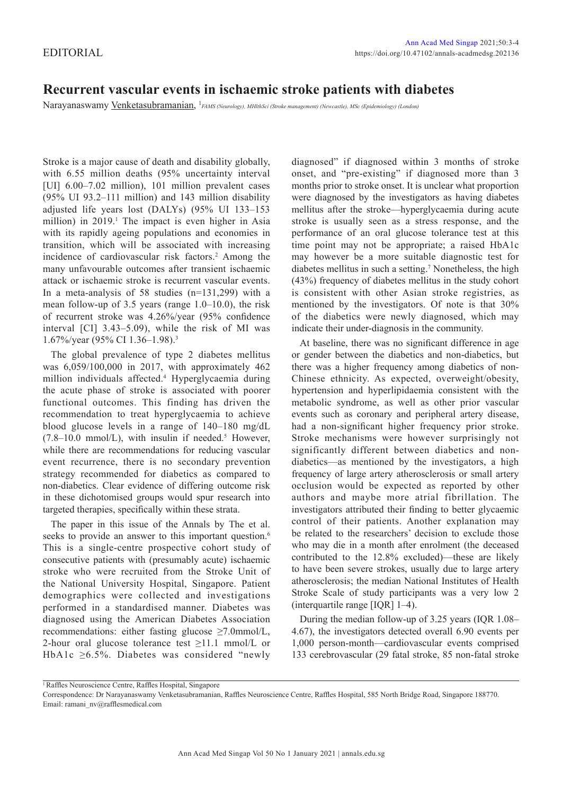## **Recurrent vascular events in ischaemic stroke patients with diabetes**

Narayanaswamy Venketasubramanian, 1 *FAMS (Neurology), MHlthSci (Stroke management) (Newcastle), MSc (Epidemiology) (London)*

Stroke is a major cause of death and disability globally, with 6.55 million deaths (95% uncertainty interval [UI] 6.00–7.02 million), 101 million prevalent cases (95% UI 93.2–111 million) and 143 million disability adjusted life years lost (DALYs) (95% UI 133–153 million) in  $2019$ .<sup>1</sup> The impact is even higher in Asia with its rapidly ageing populations and economies in transition, which will be associated with increasing incidence of cardiovascular risk factors.<sup>2</sup> Among the many unfavourable outcomes after transient ischaemic attack or ischaemic stroke is recurrent vascular events. In a meta-analysis of 58 studies (n=131,299) with a mean follow-up of 3.5 years (range 1.0–10.0), the risk of recurrent stroke was 4.26%/year (95% confidence interval [CI] 3.43–5.09), while the risk of MI was 1.67%/year (95% CI 1.36–1.98).3

The global prevalence of type 2 diabetes mellitus was 6,059/100,000 in 2017, with approximately 462 million individuals affected.4 Hyperglycaemia during the acute phase of stroke is associated with poorer functional outcomes. This finding has driven the recommendation to treat hyperglycaemia to achieve blood glucose levels in a range of 140–180 mg/dL  $(7.8-10.0 \text{ mmol/L})$ , with insulin if needed.<sup>5</sup> However, while there are recommendations for reducing vascular event recurrence, there is no secondary prevention strategy recommended for diabetics as compared to non-diabetics. Clear evidence of differing outcome risk in these dichotomised groups would spur research into targeted therapies, specifically within these strata.

The paper in this issue of the Annals by The et al. seeks to provide an answer to this important question.<sup>6</sup> This is a single-centre prospective cohort study of consecutive patients with (presumably acute) ischaemic stroke who were recruited from the Stroke Unit of the National University Hospital, Singapore. Patient demographics were collected and investigations performed in a standardised manner. Diabetes was diagnosed using the American Diabetes Association recommendations: either fasting glucose ≥7.0mmol/L, 2-hour oral glucose tolerance test  $\geq$ 11.1 mmol/L or HbA1c ≥6.5%. Diabetes was considered "newly diagnosed" if diagnosed within 3 months of stroke onset, and "pre-existing" if diagnosed more than 3 months prior to stroke onset. It is unclear what proportion were diagnosed by the investigators as having diabetes mellitus after the stroke—hyperglycaemia during acute stroke is usually seen as a stress response, and the performance of an oral glucose tolerance test at this time point may not be appropriate; a raised HbA1c may however be a more suitable diagnostic test for diabetes mellitus in such a setting.<sup>7</sup> Nonetheless, the high (43%) frequency of diabetes mellitus in the study cohort is consistent with other Asian stroke registries, as mentioned by the investigators. Of note is that 30% of the diabetics were newly diagnosed, which may indicate their under-diagnosis in the community.

At baseline, there was no significant difference in age or gender between the diabetics and non-diabetics, but there was a higher frequency among diabetics of non-Chinese ethnicity. As expected, overweight/obesity, hypertension and hyperlipidaemia consistent with the metabolic syndrome, as well as other prior vascular events such as coronary and peripheral artery disease, had a non-significant higher frequency prior stroke. Stroke mechanisms were however surprisingly not significantly different between diabetics and nondiabetics—as mentioned by the investigators, a high frequency of large artery atherosclerosis or small artery occlusion would be expected as reported by other authors and maybe more atrial fibrillation. The investigators attributed their finding to better glycaemic control of their patients. Another explanation may be related to the researchers' decision to exclude those who may die in a month after enrolment (the deceased contributed to the 12.8% excluded)—these are likely to have been severe strokes, usually due to large artery atherosclerosis; the median National Institutes of Health Stroke Scale of study participants was a very low 2 (interquartile range [IQR] 1–4).

During the median follow-up of 3.25 years (IQR 1.08– 4.67), the investigators detected overall 6.90 events per 1,000 person-month—cardiovascular events comprised 133 cerebrovascular (29 fatal stroke, 85 non-fatal stroke

<sup>1</sup>Raffles Neuroscience Centre, Raffles Hospital, Singapore

Correspondence: Dr Narayanaswamy Venketasubramanian, Raffles Neuroscience Centre, Raffles Hospital, 585 North Bridge Road, Singapore 188770. Email: ramani\_nv@rafflesmedical.com